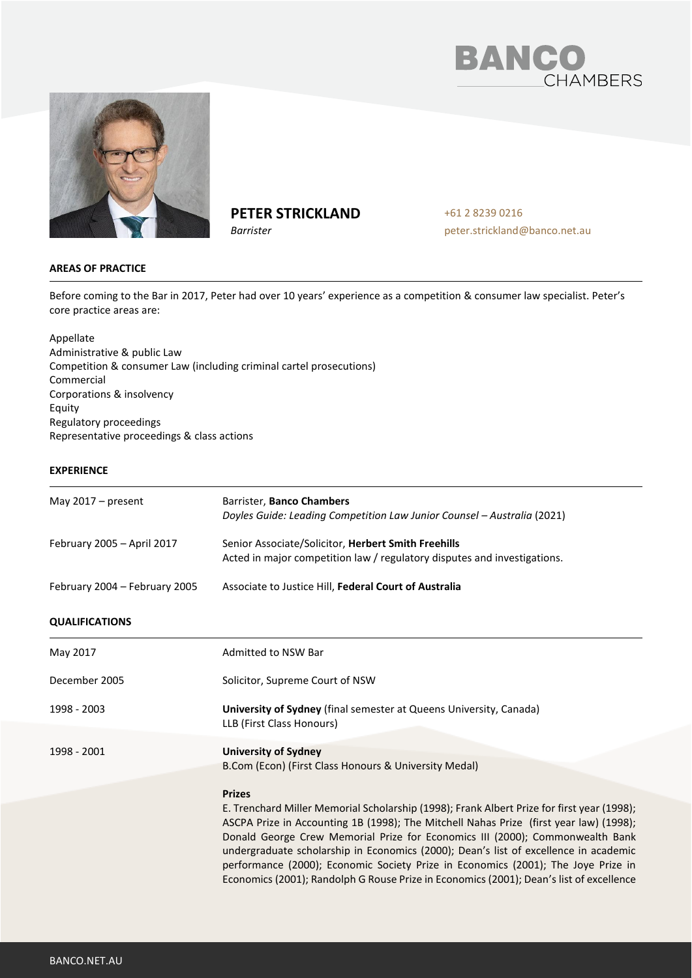



# **PETER STRICKLAND**

*Barrister*

+61 2 8239 0216 peter.strickland@banco.net.au

## **AREAS OF PRACTICE**

Before coming to the Bar in 2017, Peter had over 10 years' experience as a competition & consumer law specialist. Peter's core practice areas are:

Appellate Administrative & public Law Competition & consumer Law (including criminal cartel prosecutions) Commercial Corporations & insolvency Equity Regulatory proceedings Representative proceedings & class actions

# **EXPERIENCE**

| May $2017 - present$          | Barrister, Banco Chambers<br>Doyles Guide: Leading Competition Law Junior Counsel - Australia (2021)                                                                                                                                                                                                                                                                                                                                                                                                                                                           |
|-------------------------------|----------------------------------------------------------------------------------------------------------------------------------------------------------------------------------------------------------------------------------------------------------------------------------------------------------------------------------------------------------------------------------------------------------------------------------------------------------------------------------------------------------------------------------------------------------------|
| February 2005 - April 2017    | Senior Associate/Solicitor, Herbert Smith Freehills<br>Acted in major competition law / regulatory disputes and investigations.                                                                                                                                                                                                                                                                                                                                                                                                                                |
| February 2004 - February 2005 | Associate to Justice Hill, Federal Court of Australia                                                                                                                                                                                                                                                                                                                                                                                                                                                                                                          |
| <b>QUALIFICATIONS</b>         |                                                                                                                                                                                                                                                                                                                                                                                                                                                                                                                                                                |
| May 2017                      | Admitted to NSW Bar                                                                                                                                                                                                                                                                                                                                                                                                                                                                                                                                            |
| December 2005                 | Solicitor, Supreme Court of NSW                                                                                                                                                                                                                                                                                                                                                                                                                                                                                                                                |
| 1998 - 2003                   | University of Sydney (final semester at Queens University, Canada)<br>LLB (First Class Honours)                                                                                                                                                                                                                                                                                                                                                                                                                                                                |
| 1998 - 2001                   | <b>University of Sydney</b><br>B.Com (Econ) (First Class Honours & University Medal)                                                                                                                                                                                                                                                                                                                                                                                                                                                                           |
|                               | <b>Prizes</b><br>E. Trenchard Miller Memorial Scholarship (1998); Frank Albert Prize for first year (1998);<br>ASCPA Prize in Accounting 1B (1998); The Mitchell Nahas Prize (first year law) (1998);<br>Donald George Crew Memorial Prize for Economics III (2000); Commonwealth Bank<br>undergraduate scholarship in Economics (2000); Dean's list of excellence in academic<br>performance (2000); Economic Society Prize in Economics (2001); The Joye Prize in<br>Economics (2001); Randolph G Rouse Prize in Economics (2001); Dean's list of excellence |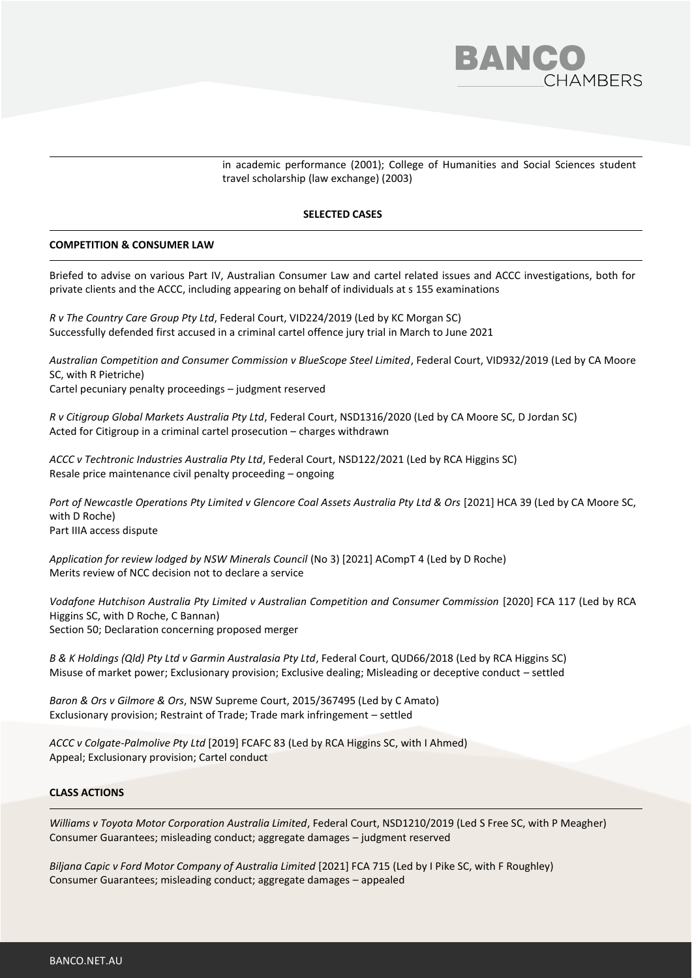

in academic performance (2001); College of Humanities and Social Sciences student travel scholarship (law exchange) (2003)

#### **SELECTED CASES**

## **COMPETITION & CONSUMER LAW**

Briefed to advise on various Part IV, Australian Consumer Law and cartel related issues and ACCC investigations, both for private clients and the ACCC, including appearing on behalf of individuals at s 155 examinations

*R v The Country Care Group Pty Ltd*, Federal Court, VID224/2019 (Led by KC Morgan SC) Successfully defended first accused in a criminal cartel offence jury trial in March to June 2021

*Australian Competition and Consumer Commission v BlueScope Steel Limited*, Federal Court, VID932/2019 (Led by CA Moore SC, with R Pietriche) Cartel pecuniary penalty proceedings – judgment reserved

*R v Citigroup Global Markets Australia Pty Ltd*, Federal Court, NSD1316/2020 (Led by CA Moore SC, D Jordan SC) Acted for Citigroup in a criminal cartel prosecution – charges withdrawn

*ACCC v Techtronic Industries Australia Pty Ltd*, Federal Court, NSD122/2021 (Led by RCA Higgins SC) Resale price maintenance civil penalty proceeding – ongoing

*Port of Newcastle Operations Pty Limited v Glencore Coal Assets Australia Pty Ltd & Ors* [2021] HCA 39 (Led by CA Moore SC, with D Roche) Part IIIA access dispute

*Application for review lodged by NSW Minerals Council* (No 3) [2021] ACompT 4 (Led by D Roche) Merits review of NCC decision not to declare a service

*Vodafone Hutchison Australia Pty Limited v Australian Competition and Consumer Commission* [2020] FCA 117 (Led by RCA Higgins SC, with D Roche, C Bannan) Section 50; Declaration concerning proposed merger

*B & K Holdings (Qld) Pty Ltd v Garmin Australasia Pty Ltd*, Federal Court, QUD66/2018 (Led by RCA Higgins SC) Misuse of market power; Exclusionary provision; Exclusive dealing; Misleading or deceptive conduct – settled

*Baron & Ors v Gilmore & Ors*, NSW Supreme Court, 2015/367495 (Led by C Amato) Exclusionary provision; Restraint of Trade; Trade mark infringement – settled

*ACCC v Colgate-Palmolive Pty Ltd* [2019] FCAFC 83 (Led by RCA Higgins SC, with I Ahmed) Appeal; Exclusionary provision; Cartel conduct

# **CLASS ACTIONS**

*Williams v Toyota Motor Corporation Australia Limited*, Federal Court, NSD1210/2019 (Led S Free SC, with P Meagher) Consumer Guarantees; misleading conduct; aggregate damages – judgment reserved

*Biljana Capic v Ford Motor Company of Australia Limited* [2021] FCA 715 (Led by I Pike SC, with F Roughley) Consumer Guarantees; misleading conduct; aggregate damages – appealed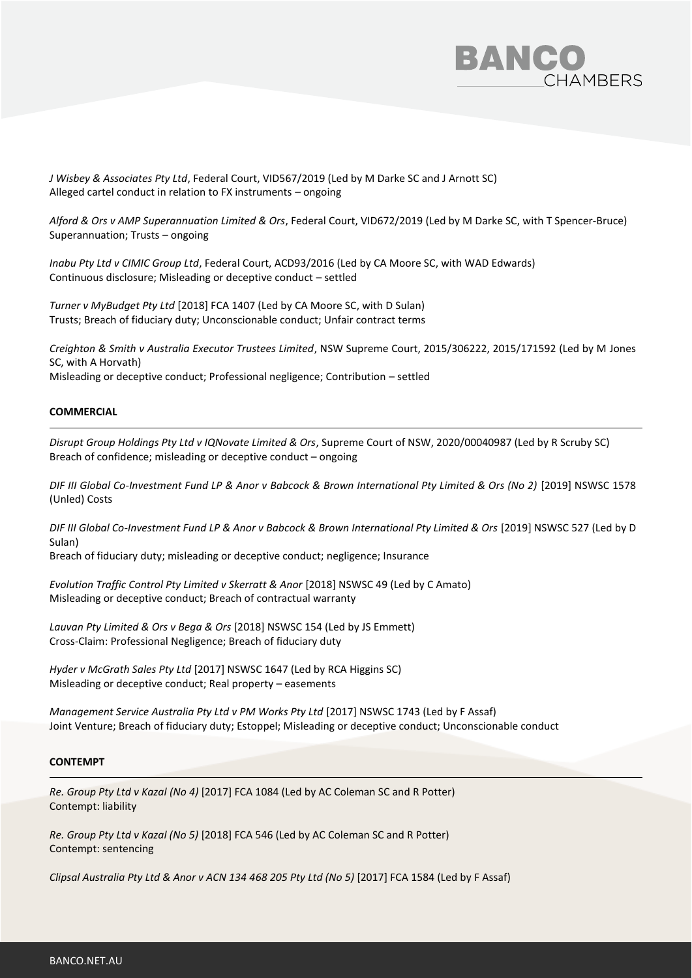

*J Wisbey & Associates Pty Ltd*, Federal Court, VID567/2019 (Led by M Darke SC and J Arnott SC) Alleged cartel conduct in relation to FX instruments – ongoing

*Alford & Ors v AMP Superannuation Limited & Ors*, Federal Court, VID672/2019 (Led by M Darke SC, with T Spencer-Bruce) Superannuation; Trusts – ongoing

*Inabu Pty Ltd v CIMIC Group Ltd*, Federal Court, ACD93/2016 (Led by CA Moore SC, with WAD Edwards) Continuous disclosure; Misleading or deceptive conduct – settled

*Turner v MyBudget Pty Ltd* [2018] FCA 1407 (Led by CA Moore SC, with D Sulan) Trusts; Breach of fiduciary duty; Unconscionable conduct; Unfair contract terms

*Creighton & Smith v Australia Executor Trustees Limited*, NSW Supreme Court, 2015/306222, 2015/171592 (Led by M Jones SC, with A Horvath) Misleading or deceptive conduct; Professional negligence; Contribution – settled

## **COMMERCIAL**

*Disrupt Group Holdings Pty Ltd v IQNovate Limited & Ors*, Supreme Court of NSW, 2020/00040987 (Led by R Scruby SC) Breach of confidence; misleading or deceptive conduct – ongoing

*DIF III Global Co-Investment Fund LP & Anor v Babcock & Brown International Pty Limited & Ors (No 2)* [2019] NSWSC 1578 (Unled) Costs

*DIF III Global Co-Investment Fund LP & Anor v Babcock & Brown International Pty Limited & Ors* [2019] NSWSC 527 (Led by D Sulan)

Breach of fiduciary duty; misleading or deceptive conduct; negligence; Insurance

*Evolution Traffic Control Pty Limited v Skerratt & Anor* [2018] NSWSC 49 (Led by C Amato) Misleading or deceptive conduct; Breach of contractual warranty

*Lauvan Pty Limited & Ors v Bega & Ors* [2018] NSWSC 154 (Led by JS Emmett) Cross-Claim: Professional Negligence; Breach of fiduciary duty

*Hyder v McGrath Sales Pty Ltd* [2017] NSWSC 1647 (Led by RCA Higgins SC) Misleading or deceptive conduct; Real property – easements

*Management Service Australia Pty Ltd v PM Works Pty Ltd* [2017] NSWSC 1743 (Led by F Assaf) Joint Venture; Breach of fiduciary duty; Estoppel; Misleading or deceptive conduct; Unconscionable conduct

#### **CONTEMPT**

*Re. Group Pty Ltd v Kazal (No 4)* [2017] FCA 1084 (Led by AC Coleman SC and R Potter) Contempt: liability

*Re. Group Pty Ltd v Kazal (No 5)* [2018] FCA 546 (Led by AC Coleman SC and R Potter) Contempt: sentencing

*Clipsal Australia Pty Ltd & Anor v ACN 134 468 205 Pty Ltd (No 5)* [2017] FCA 1584 (Led by F Assaf)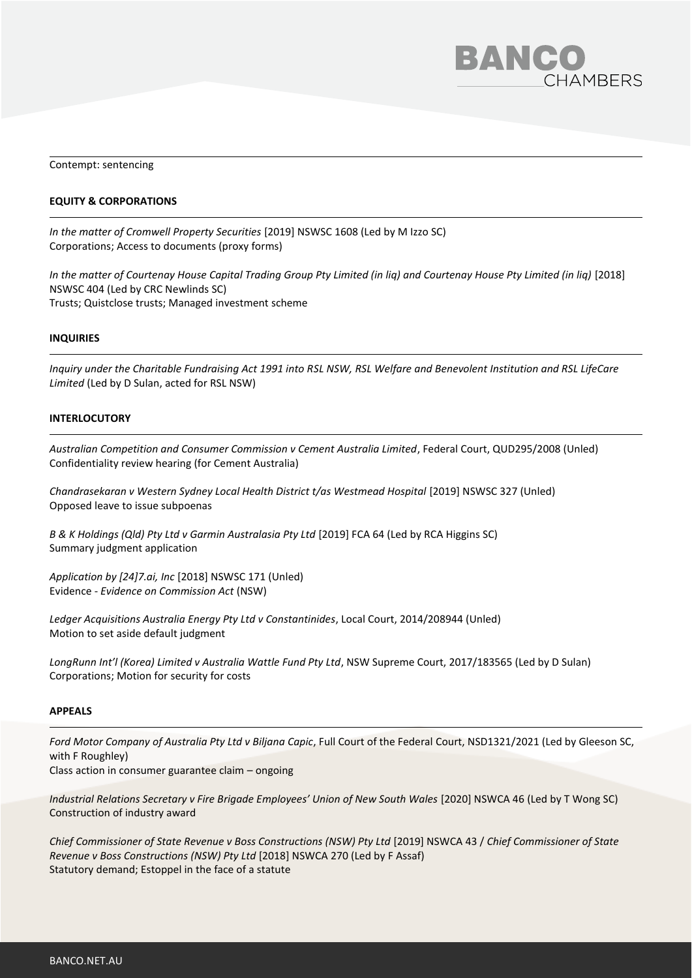

Contempt: sentencing

## **EQUITY & CORPORATIONS**

*In the matter of Cromwell Property Securities* [2019] NSWSC 1608 (Led by M Izzo SC) Corporations; Access to documents (proxy forms)

*In the matter of Courtenay House Capital Trading Group Pty Limited (in liq) and Courtenay House Pty Limited (in liq)* [2018] NSWSC 404 (Led by CRC Newlinds SC) Trusts; Quistclose trusts; Managed investment scheme

#### **INQUIRIES**

*Inquiry under the Charitable Fundraising Act 1991 into RSL NSW, RSL Welfare and Benevolent Institution and RSL LifeCare Limited* (Led by D Sulan, acted for RSL NSW)

## **INTERLOCUTORY**

*Australian Competition and Consumer Commission v Cement Australia Limited*, Federal Court, QUD295/2008 (Unled) Confidentiality review hearing (for Cement Australia)

*Chandrasekaran v Western Sydney Local Health District t/as Westmead Hospital* [2019] NSWSC 327 (Unled) Opposed leave to issue subpoenas

*B & K Holdings (Qld) Pty Ltd v Garmin Australasia Pty Ltd* [2019] FCA 64 (Led by RCA Higgins SC) Summary judgment application

*Application by [24]7.ai, Inc* [2018] NSWSC 171 (Unled) Evidence - *Evidence on Commission Act* (NSW)

*Ledger Acquisitions Australia Energy Pty Ltd v Constantinides*, Local Court, 2014/208944 (Unled) Motion to set aside default judgment

*LongRunn Int'l (Korea) Limited v Australia Wattle Fund Pty Ltd*, NSW Supreme Court, 2017/183565 (Led by D Sulan) Corporations; Motion for security for costs

#### **APPEALS**

*Ford Motor Company of Australia Pty Ltd v Biljana Capic*, Full Court of the Federal Court, NSD1321/2021 (Led by Gleeson SC, with F Roughley)

Class action in consumer guarantee claim – ongoing

*Industrial Relations Secretary v Fire Brigade Employees' Union of New South Wales* [2020] NSWCA 46 (Led by T Wong SC) Construction of industry award

*Chief Commissioner of State Revenue v Boss Constructions (NSW) Pty Ltd* [2019] NSWCA 43 / *Chief Commissioner of State Revenue v Boss Constructions (NSW) Pty Ltd* [2018] NSWCA 270 (Led by F Assaf) Statutory demand; Estoppel in the face of a statute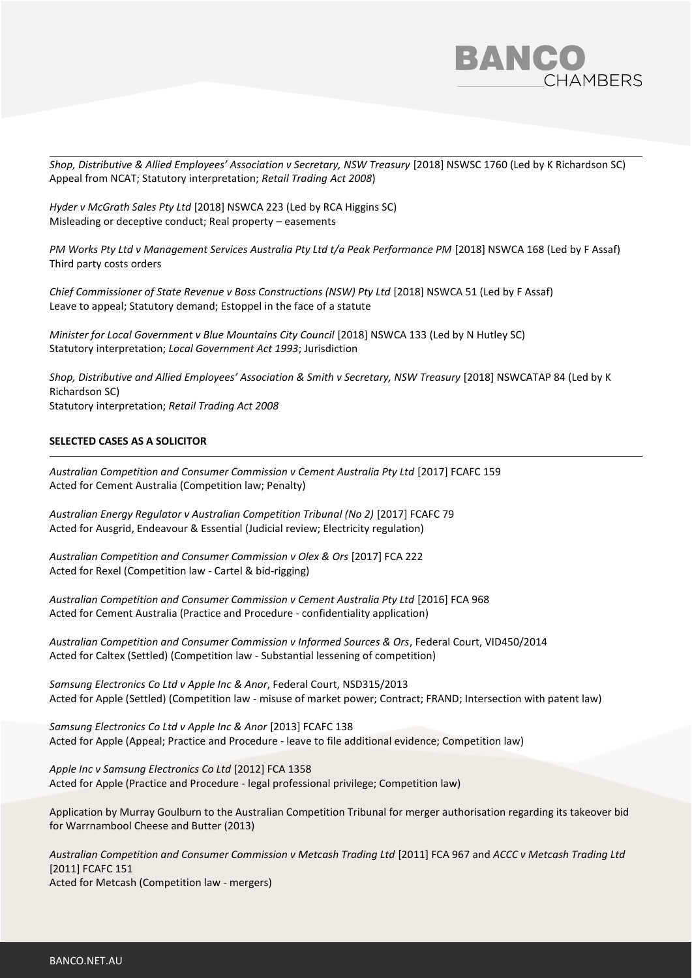

*Shop, Distributive & Allied Employees' Association v Secretary, NSW Treasury* [2018] NSWSC 1760 (Led by K Richardson SC) Appeal from NCAT; Statutory interpretation; *Retail Trading Act 2008*)

*Hyder v McGrath Sales Pty Ltd* [2018] NSWCA 223 (Led by RCA Higgins SC) Misleading or deceptive conduct; Real property – easements

PM Works Pty Ltd v Management Services Australia Pty Ltd t/a Peak Performance PM [2018] NSWCA 168 (Led by F Assaf) Third party costs orders

*Chief Commissioner of State Revenue v Boss Constructions (NSW) Pty Ltd* [2018] NSWCA 51 (Led by F Assaf) Leave to appeal; Statutory demand; Estoppel in the face of a statute

*Minister for Local Government v Blue Mountains City Council* [2018] NSWCA 133 (Led by N Hutley SC) Statutory interpretation; *Local Government Act 1993*; Jurisdiction

*Shop, Distributive and Allied Employees' Association & Smith v Secretary, NSW Treasury* [2018] NSWCATAP 84 (Led by K Richardson SC) Statutory interpretation; *Retail Trading Act 2008*

## **SELECTED CASES AS A SOLICITOR**

*Australian Competition and Consumer Commission v Cement Australia Pty Ltd* [2017] FCAFC 159 Acted for Cement Australia (Competition law; Penalty)

*Australian Energy Regulator v Australian Competition Tribunal (No 2)* [2017] FCAFC 79 Acted for Ausgrid, Endeavour & Essential (Judicial review; Electricity regulation)

*Australian Competition and Consumer Commission v Olex & Ors* [2017] FCA 222 Acted for Rexel (Competition law - Cartel & bid-rigging)

*Australian Competition and Consumer Commission v Cement Australia Pty Ltd* [2016] FCA 968 Acted for Cement Australia (Practice and Procedure - confidentiality application)

*Australian Competition and Consumer Commission v Informed Sources & Ors*, Federal Court, VID450/2014 Acted for Caltex (Settled) (Competition law - Substantial lessening of competition)

*Samsung Electronics Co Ltd v Apple Inc & Anor*, Federal Court, NSD315/2013 Acted for Apple (Settled) (Competition law - misuse of market power; Contract; FRAND; Intersection with patent law)

*Samsung Electronics Co Ltd v Apple Inc & Anor* [2013] FCAFC 138 Acted for Apple (Appeal; Practice and Procedure - leave to file additional evidence; Competition law)

*Apple Inc v Samsung Electronics Co Ltd* [2012] FCA 1358 Acted for Apple (Practice and Procedure - legal professional privilege; Competition law)

Application by Murray Goulburn to the Australian Competition Tribunal for merger authorisation regarding its takeover bid for Warrnambool Cheese and Butter (2013)

*Australian Competition and Consumer Commission v Metcash Trading Ltd* [2011] FCA 967 and *ACCC v Metcash Trading Ltd* [2011] FCAFC 151 Acted for Metcash (Competition law - mergers)